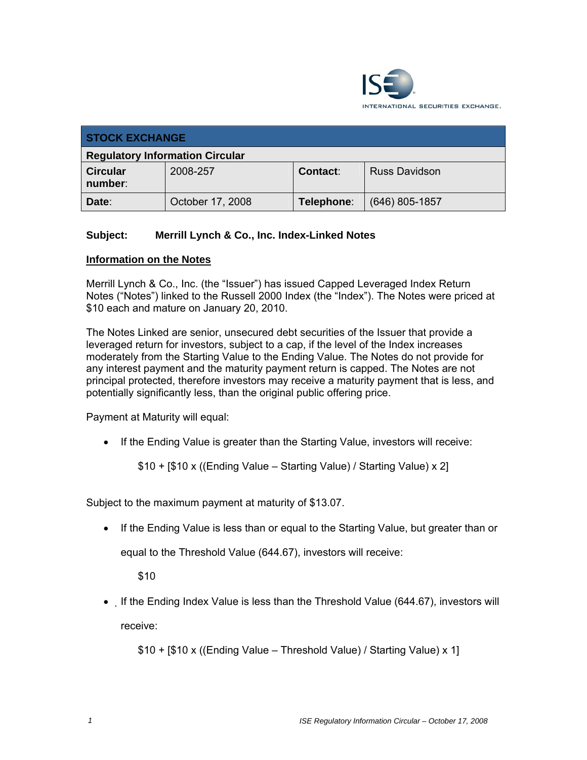

| <b>STOCK EXCHANGE</b>                  |                  |            |                      |  |
|----------------------------------------|------------------|------------|----------------------|--|
| <b>Regulatory Information Circular</b> |                  |            |                      |  |
| <b>Circular</b><br>number:             | 2008-257         | Contact:   | <b>Russ Davidson</b> |  |
| Date:                                  | October 17, 2008 | Telephone: | $(646)$ 805-1857     |  |

## **Subject: Merrill Lynch & Co., Inc. Index-Linked Notes**

## **Information on the Notes**

Merrill Lynch & Co., Inc. (the "Issuer") has issued Capped Leveraged Index Return Notes ("Notes") linked to the Russell 2000 Index (the "Index"). The Notes were priced at \$10 each and mature on January 20, 2010.

The Notes Linked are senior, unsecured debt securities of the Issuer that provide a leveraged return for investors, subject to a cap, if the level of the Index increases moderately from the Starting Value to the Ending Value. The Notes do not provide for any interest payment and the maturity payment return is capped. The Notes are not principal protected, therefore investors may receive a maturity payment that is less, and potentially significantly less, than the original public offering price.

Payment at Maturity will equal:

• If the Ending Value is greater than the Starting Value, investors will receive:

\$10 + [\$10 x ((Ending Value – Starting Value) / Starting Value) x 2]

Subject to the maximum payment at maturity of \$13.07.

• If the Ending Value is less than or equal to the Starting Value, but greater than or

equal to the Threshold Value (644.67), investors will receive:

\$10

• If the Ending Index Value is less than the Threshold Value (644.67), investors will receive:

```
$10 + [$10 x ((Ending Value – Threshold Value) / Starting Value) x 1]
```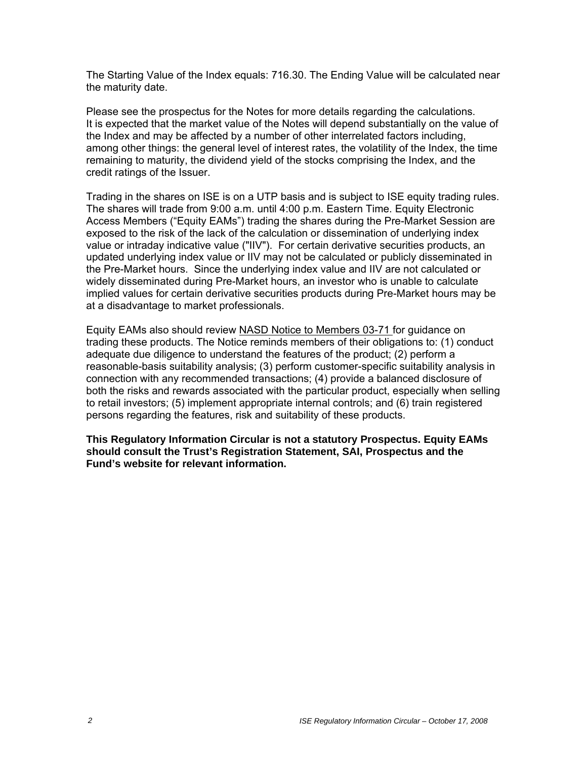The Starting Value of the Index equals: 716.30. The Ending Value will be calculated near the maturity date.

Please see the prospectus for the Notes for more details regarding the calculations. It is expected that the market value of the Notes will depend substantially on the value of the Index and may be affected by a number of other interrelated factors including, among other things: the general level of interest rates, the volatility of the Index, the time remaining to maturity, the dividend yield of the stocks comprising the Index, and the credit ratings of the Issuer.

Trading in the shares on ISE is on a UTP basis and is subject to ISE equity trading rules. The shares will trade from 9:00 a.m. until 4:00 p.m. Eastern Time. Equity Electronic Access Members ("Equity EAMs") trading the shares during the Pre-Market Session are exposed to the risk of the lack of the calculation or dissemination of underlying index value or intraday indicative value ("IIV"). For certain derivative securities products, an updated underlying index value or IIV may not be calculated or publicly disseminated in the Pre-Market hours. Since the underlying index value and IIV are not calculated or widely disseminated during Pre-Market hours, an investor who is unable to calculate implied values for certain derivative securities products during Pre-Market hours may be at a disadvantage to market professionals.

Equity EAMs also should review NASD Notice to Members 03-71 for guidance on trading these products. The Notice reminds members of their obligations to: (1) conduct adequate due diligence to understand the features of the product; (2) perform a reasonable-basis suitability analysis; (3) perform customer-specific suitability analysis in connection with any recommended transactions; (4) provide a balanced disclosure of both the risks and rewards associated with the particular product, especially when selling to retail investors; (5) implement appropriate internal controls; and (6) train registered persons regarding the features, risk and suitability of these products.

**This Regulatory Information Circular is not a statutory Prospectus. Equity EAMs should consult the Trust's Registration Statement, SAI, Prospectus and the Fund's website for relevant information.**